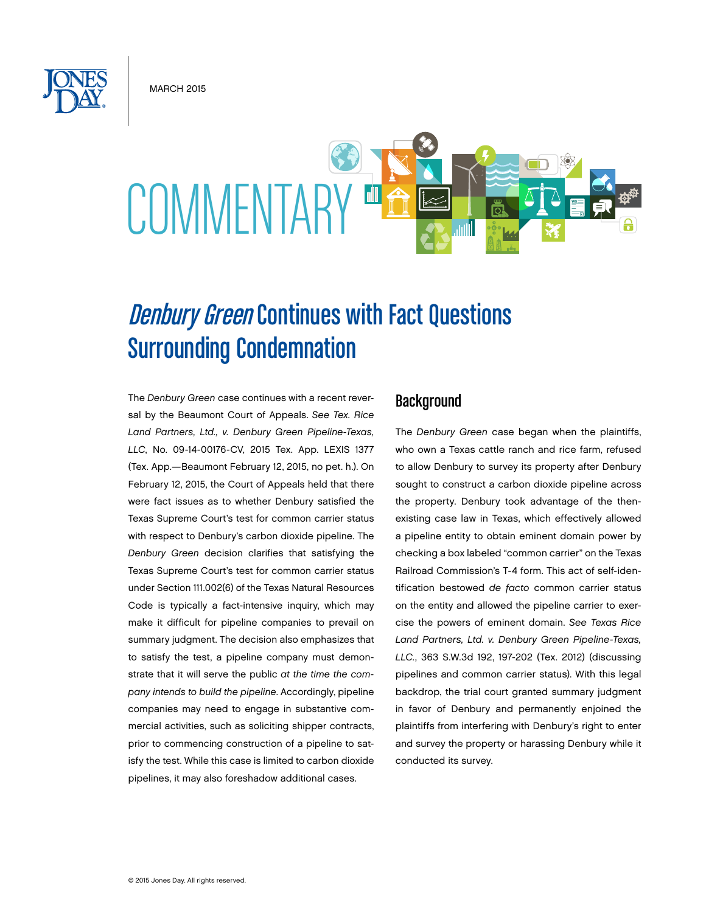**MARCH 2015** 

# COMMENTAR

# **Denbury Green Continues with Fact Questions** Surrounding Condemnation

The *Denbury Green* case continues with a recent reversal by the Beaumont Court of Appeals. *See Tex. Rice Land Partners, Ltd., v. Denbury Green Pipeline-Texas, LLC*, No. 09-14-00176-CV, 2015 Tex. App. LEXIS 1377 (Tex. App.—Beaumont February 12, 2015, no pet. h.). On February 12, 2015, the Court of Appeals held that there were fact issues as to whether Denbury satisfied the Texas Supreme Court's test for common carrier status with respect to Denbury's carbon dioxide pipeline. The *Denbury Green* decision clarifies that satisfying the Texas Supreme Court's test for common carrier status under Section 111.002(6) of the Texas Natural Resources Code is typically a fact-intensive inquiry, which may make it difficult for pipeline companies to prevail on summary judgment. The decision also emphasizes that to satisfy the test, a pipeline company must demonstrate that it will serve the public *at the time the company intends to build the pipeline*. Accordingly, pipeline companies may need to engage in substantive commercial activities, such as soliciting shipper contracts, prior to commencing construction of a pipeline to satisfy the test. While this case is limited to carbon dioxide pipelines, it may also foreshadow additional cases.

# **Background**

The *Denbury Green* case began when the plaintiffs, who own a Texas cattle ranch and rice farm, refused to allow Denbury to survey its property after Denbury sought to construct a carbon dioxide pipeline across the property. Denbury took advantage of the thenexisting case law in Texas, which effectively allowed a pipeline entity to obtain eminent domain power by checking a box labeled "common carrier" on the Texas Railroad Commission's T-4 form. This act of self-identification bestowed *de facto* common carrier status on the entity and allowed the pipeline carrier to exercise the powers of eminent domain. *See Texas Rice Land Partners, Ltd. v. Denbury Green Pipeline-Texas, LLC.*, 363 S.W.3d 192, 197-202 (Tex. 2012) (discussing pipelines and common carrier status). With this legal backdrop, the trial court granted summary judgment in favor of Denbury and permanently enjoined the plaintiffs from interfering with Denbury's right to enter and survey the property or harassing Denbury while it conducted its survey.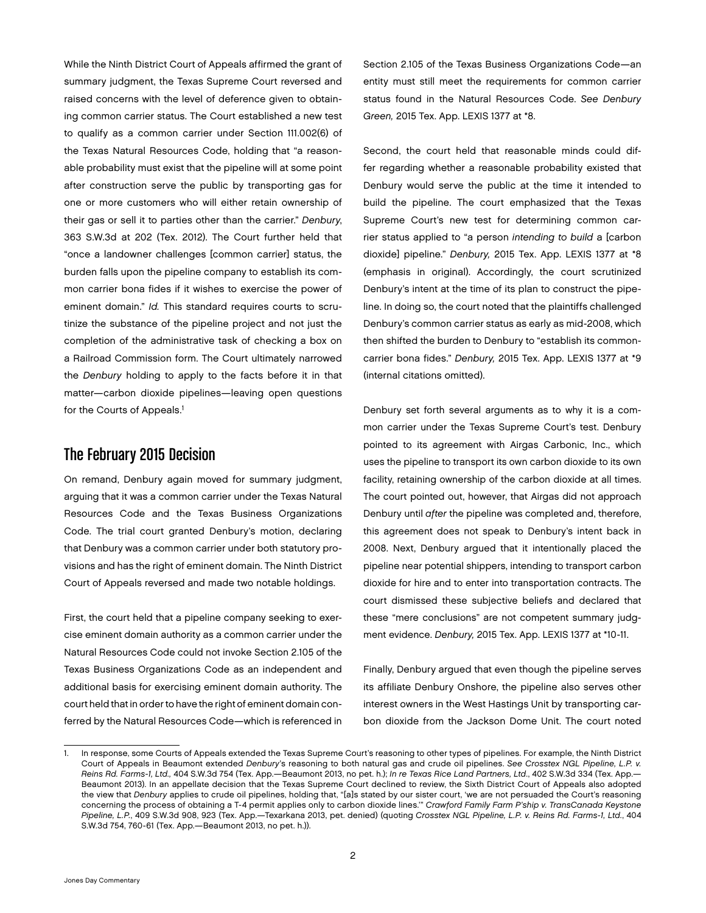While the Ninth District Court of Appeals affirmed the grant of summary judgment, the Texas Supreme Court reversed and raised concerns with the level of deference given to obtaining common carrier status. The Court established a new test to qualify as a common carrier under Section 111.002(6) of the Texas Natural Resources Code, holding that "a reasonable probability must exist that the pipeline will at some point after construction serve the public by transporting gas for one or more customers who will either retain ownership of their gas or sell it to parties other than the carrier." *Denbury*, 363 S.W.3d at 202 (Tex. 2012). The Court further held that "once a landowner challenges [common carrier] status, the burden falls upon the pipeline company to establish its common carrier bona fides if it wishes to exercise the power of eminent domain." *Id.* This standard requires courts to scrutinize the substance of the pipeline project and not just the completion of the administrative task of checking a box on a Railroad Commission form. The Court ultimately narrowed the *Denbury* holding to apply to the facts before it in that matter—carbon dioxide pipelines—leaving open questions for the Courts of Appeals.<sup>1</sup>

# The February 2015 Decision

On remand, Denbury again moved for summary judgment, arguing that it was a common carrier under the Texas Natural Resources Code and the Texas Business Organizations Code. The trial court granted Denbury's motion, declaring that Denbury was a common carrier under both statutory provisions and has the right of eminent domain. The Ninth District Court of Appeals reversed and made two notable holdings.

First, the court held that a pipeline company seeking to exercise eminent domain authority as a common carrier under the Natural Resources Code could not invoke Section 2.105 of the Texas Business Organizations Code as an independent and additional basis for exercising eminent domain authority. The court held that in order to have the right of eminent domain conferred by the Natural Resources Code—which is referenced in

Section 2.105 of the Texas Business Organizations Code—an entity must still meet the requirements for common carrier status found in the Natural Resources Code. *See Denbury Green,* 2015 Tex. App. LEXIS 1377 at \*8.

Second, the court held that reasonable minds could differ regarding whether a reasonable probability existed that Denbury would serve the public at the time it intended to build the pipeline. The court emphasized that the Texas Supreme Court's new test for determining common carrier status applied to "a person *intending to build* a [carbon dioxide] pipeline." *Denbury,* 2015 Tex. App. LEXIS 1377 at \*8 (emphasis in original). Accordingly, the court scrutinized Denbury's intent at the time of its plan to construct the pipeline. In doing so, the court noted that the plaintiffs challenged Denbury's common carrier status as early as mid-2008, which then shifted the burden to Denbury to "establish its commoncarrier bona fides." *Denbury,* 2015 Tex. App. LEXIS 1377 at \*9 (internal citations omitted).

Denbury set forth several arguments as to why it is a common carrier under the Texas Supreme Court's test. Denbury pointed to its agreement with Airgas Carbonic, Inc., which uses the pipeline to transport its own carbon dioxide to its own facility, retaining ownership of the carbon dioxide at all times. The court pointed out, however, that Airgas did not approach Denbury until *after* the pipeline was completed and, therefore, this agreement does not speak to Denbury's intent back in 2008. Next, Denbury argued that it intentionally placed the pipeline near potential shippers, intending to transport carbon dioxide for hire and to enter into transportation contracts. The court dismissed these subjective beliefs and declared that these "mere conclusions" are not competent summary judgment evidence. *Denbury,* 2015 Tex. App. LEXIS 1377 at \*10-11.

Finally, Denbury argued that even though the pipeline serves its affiliate Denbury Onshore, the pipeline also serves other interest owners in the West Hastings Unit by transporting carbon dioxide from the Jackson Dome Unit. The court noted

<sup>1.</sup> In response, some Courts of Appeals extended the Texas Supreme Court's reasoning to other types of pipelines. For example, the Ninth District Court of Appeals in Beaumont extended *Denbury*'s reasoning to both natural gas and crude oil pipelines. *See Crosstex NGL Pipeline, L.P. v. Reins Rd. Farms-1, Ltd.,* 404 S.W.3d 754 (Tex. App.—Beaumont 2013, no pet. h.); *In re Texas Rice Land Partners, Ltd*., 402 S.W.3d 334 (Tex. App.— Beaumont 2013). In an appellate decision that the Texas Supreme Court declined to review, the Sixth District Court of Appeals also adopted the view that *Denbury* applies to crude oil pipelines, holding that, "[a]s stated by our sister court, 'we are not persuaded the Court's reasoning concerning the process of obtaining a T-4 permit applies only to carbon dioxide lines.'" *Crawford Family Farm P'ship v. TransCanada Keystone Pipeline, L.P.*, 409 S.W.3d 908, 923 (Tex. App.—Texarkana 2013, pet. denied) (quoting *Crosstex NGL Pipeline, L.P. v. Reins Rd. Farms-1, Ltd.*, 404 S.W.3d 754, 760-61 (Tex. App.—Beaumont 2013, no pet. h.)).